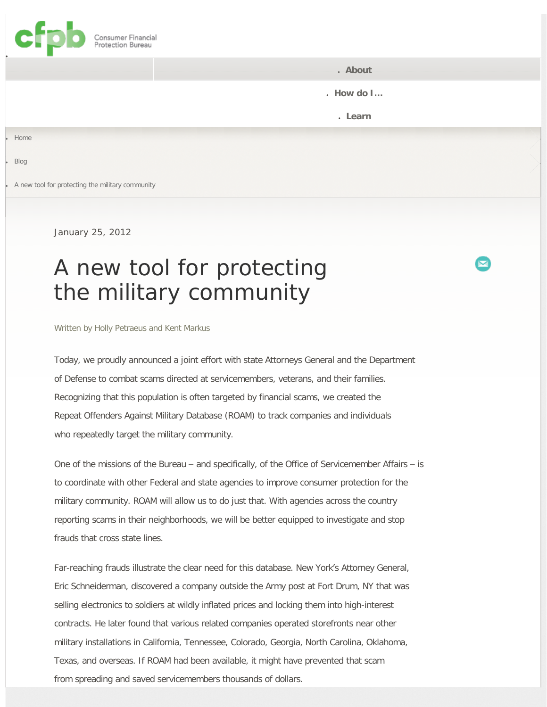<span id="page-0-0"></span>

● **[About](#page-0-0)**

● **[How do I](#page-0-0)…**

● **[Learn](#page-0-0)**

**[Home](http://www.consumerfinance.gov/)** 

**[Blog](http://www.consumerfinance.gov/blog/)** 

A new tool for protecting the military community

January 25, 2012

 $\log$ 

## A new tool for protecting the military community

Written by [Holly Petraeus and Kent Markus](http://www.consumerfinance.gov/author/hpetraeuskmarkus/)

Today, we proudly announced a joint effort with state Attorneys General and the Department of Defense to combat scams directed at servicemembers, veterans, and their families. Recognizing that this population is often targeted by financial scams, we created the Repeat Offenders Against Military Database (ROAM) to track companies and individuals who repeatedly target the military community.

One of the missions of the Bureau – and specifically, of the Office of Servicemember Affairs – is to coordinate with other Federal and state agencies to improve consumer protection for the military community. ROAM will allow us to do just that. With agencies across the country reporting scams in their neighborhoods, we will be better equipped to investigate and stop frauds that cross state lines.

Far-reaching frauds illustrate the clear need for this database. New York's Attorney General, Eric Schneiderman, discovered a company outside the Army post at Fort Drum, NY that was selling electronics to soldiers at wildly inflated prices and locking them into high-interest contracts. He later found that various related companies operated storefronts near other military installations in California, Tennessee, Colorado, Georgia, North Carolina, Oklahoma, Texas, and overseas. If ROAM had been available, it might have prevented that scam from spreading and saved servicemembers thousands of dollars.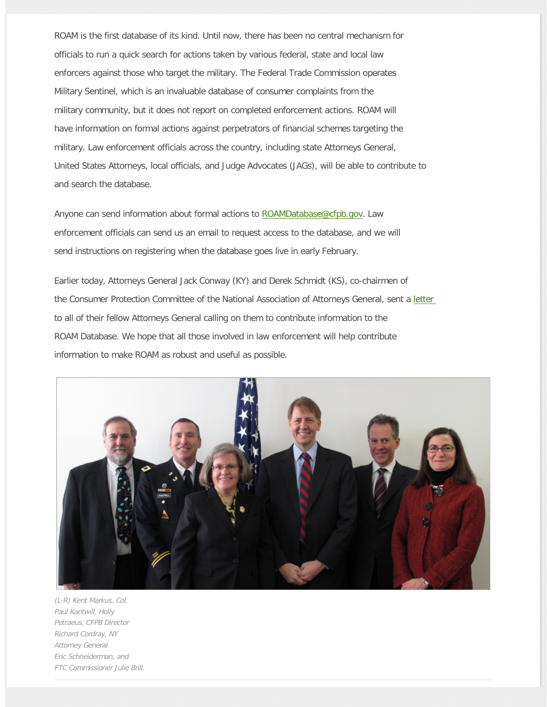ROAM is the first database of its kind. Until now, there has been no central mechanism for officials to run a quick search for actions taken by various federal, state and local law enforcers against those who target the military. The Federal Trade Commission operates Military Sentinel, which is an invaluable database of consumer complaints from the military community, but it does not report on completed enforcement actions. ROAM will have information on formal actions against perpetrators of financial schemes targeting the military. Law enforcement officials across the country, including state Attorneys General, United States Attorneys, local officials, and Judge Advocates (JAGs), will be able to contribute to and search the database.

Anyone can send information about formal actions to [ROAMDatabase@cfpb.gov.](mailto:roamdatabase@cfpb.gov) Law enforcement officials can send us an email to request access to the database, and we will send instructions on registering when the database goes live in early February.

Earlier today, Attorneys General Jack Conway (KY) and Derek Schmidt (KS), co-chairmen of the Consumer Protection Committee of the National Association of Attorneys General, sent a [letter](http://www.consumerfinance.gov/wp-content/uploads/2012/01/Project-ROAM-CFPB.pdf) to all of their fellow Attorneys General calling on them to contribute information to the ROAM Database. We hope that all those involved in law enforcement will help contribute information to make ROAM as robust and useful as possible.



(L-R) Kent Markus, Col. Paul Kantwill, Holly Petraeus, CFPB Director Richard Cordray, NY Attorney General Eric Schneiderman, and FTC Commissioner Julie Brill.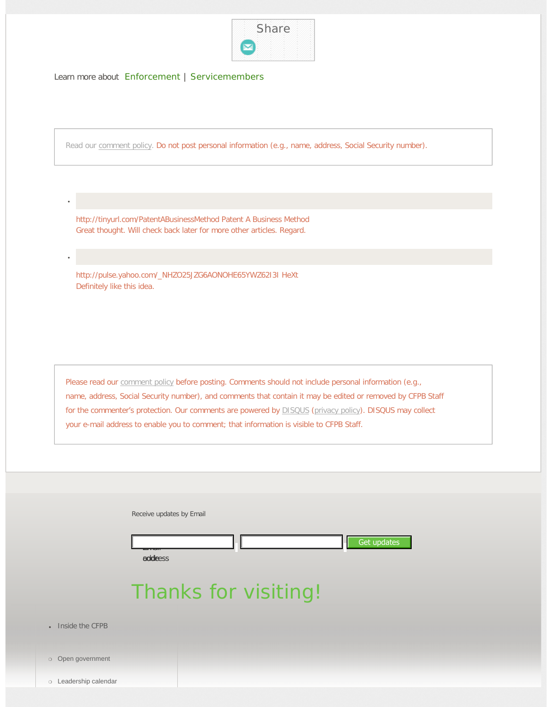

Learn more about [Enforcement](http://www.consumerfinance.gov/category/enforcement/) | [Servicemembers](http://www.consumerfinance.gov/category/servicemembers/)

Read our [comment policy.](http://www.consumerfinance.gov/comment-policy/) Do not post personal information (e.g., name, address, Social Security number).

http://tinyurl.com/PatentABusinessMethod Patent A Business Method Great thought. Will check back later for more other articles. Regard.

http://pulse.yahoo.com/\_NHZO25JZG6AONOHE65YWZ62I3I HeXt Definitely like this idea.

Please read our **[comment policy](http://www.consumerfinance.gov/comment-policy/)** before posting. Comments should not include personal information (e.g., name, address, Social Security number), and comments that contain it may be edited or removed by CFPB Staff for the commenter's protection. Our comments are powered by **[DISQUS](http://disqus.com/)** ([privacy policy\)](http://docs.disqus.com/help/30/). DISQUS may collect your e-mail address to enable you to comment; that information is visible to CFPB Staff.

| Receive updates by Email       |
|--------------------------------|
| Get updates<br>Luun<br>addeess |

## Thanks for visiting!

• [Inside the CFPB](#page-0-0)

●

●

- ❍ [Open government](http://www.consumerfinance.gov/open/)
- ❍ [Leadership calendar](http://www.consumerfinance.gov/leadership-calendar/)